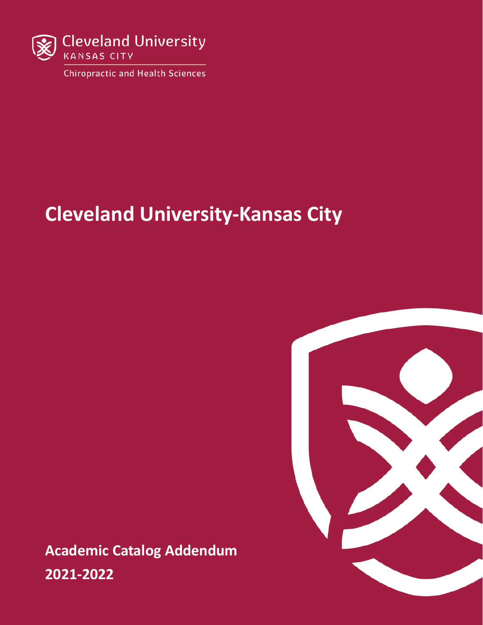

**Chiropractic and Health Sciences** 

# **Cleveland University-Kansas City**

**Academic Catalog Addendum 2021-2022**

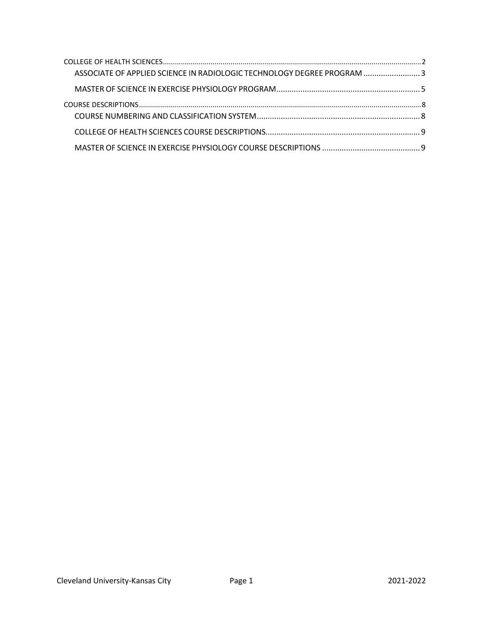| ASSOCIATE OF APPLIED SCIENCE IN RADIOLOGIC TECHNOLOGY DEGREE PROGRAM 3 |  |
|------------------------------------------------------------------------|--|
|                                                                        |  |
|                                                                        |  |
|                                                                        |  |
|                                                                        |  |
|                                                                        |  |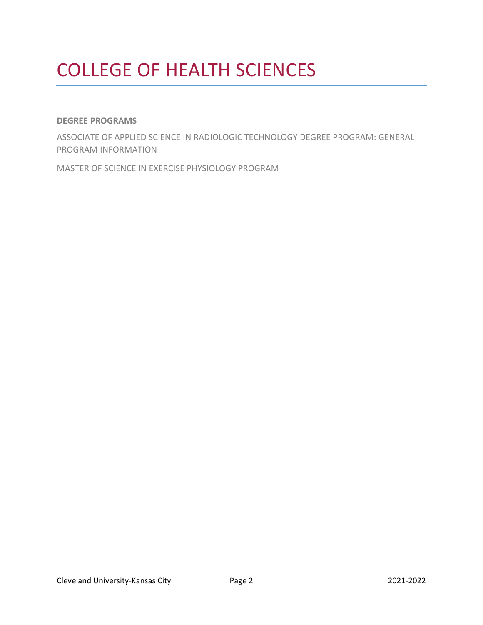# <span id="page-2-0"></span>COLLEGE OF HEALTH SCIENCES

### **DEGREE PROGRAMS**

ASSOCIATE OF APPLIED SCIENCE IN RADIOLOGIC TECHNOLOGY DEGREE PROGRAM: GENERAL PROGRAM INFORMATION

MASTER OF SCIENCE IN EXERCISE PHYSIOLOGY PROGRAM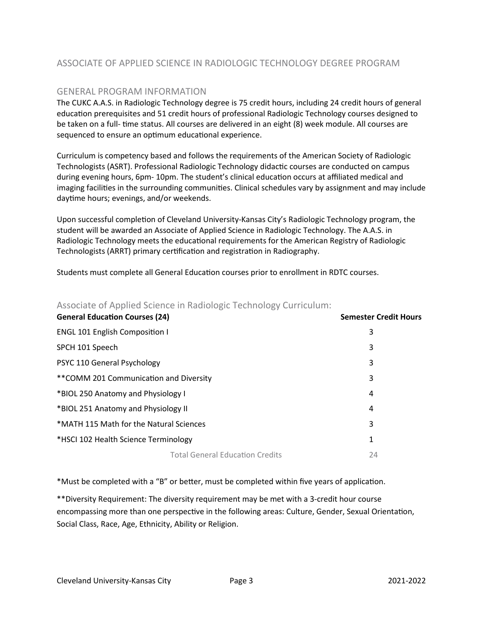# <span id="page-3-0"></span>ASSOCIATE OF APPLIED SCIENCE IN RADIOLOGIC TECHNOLOGY DEGREE PROGRAM

### GENERAL PROGRAM INFORMATION

The CUKC A.A.S. in Radiologic Technology degree is 75 credit hours, including 24 credit hours of general education prerequisites and 51 credit hours of professional Radiologic Technology courses designed to be taken on a full- time status. All courses are delivered in an eight (8) week module. All courses are sequenced to ensure an optimum educational experience.

Curriculum is competency based and follows the requirements of the American Society of Radiologic Technologists (ASRT). Professional Radiologic Technology didac�c courses are conducted on campus during evening hours, 6pm- 10pm. The student's clinical education occurs at affiliated medical and imaging facilities in the surrounding communities. Clinical schedules vary by assignment and may include daytime hours; evenings, and/or weekends.

Upon successful completion of Cleveland University-Kansas City's Radiologic Technology program, the student will be awarded an Associate of Applied Science in Radiologic Technology. The A.A.S. in Radiologic Technology meets the educational requirements for the American Registry of Radiologic Technologists (ARRT) primary certification and registration in Radiography.

Students must complete all General Education courses prior to enrollment in RDTC courses.

| <b>General Education Courses (24)</b>   | <b>Semester Credit Hours</b> |
|-----------------------------------------|------------------------------|
| <b>ENGL 101 English Composition I</b>   | 3                            |
| SPCH 101 Speech                         | 3                            |
| PSYC 110 General Psychology             | 3                            |
| ** COMM 201 Communication and Diversity | 3                            |
| *BIOL 250 Anatomy and Physiology I      | 4                            |
| *BIOL 251 Anatomy and Physiology II     | 4                            |
| *MATH 115 Math for the Natural Sciences | 3                            |
| *HSCI 102 Health Science Terminology    | 1                            |
| <b>Total General Education Credits</b>  | 24                           |

### Associate of Applied Science in Radiologic Technology Curriculum:

\*Must be completed with a "B" or better, must be completed within five years of application.

\*\*Diversity Requirement: The diversity requirement may be met with a 3-credit hour course encompassing more than one perspective in the following areas: Culture, Gender, Sexual Orientation, Social Class, Race, Age, Ethnicity, Ability or Religion.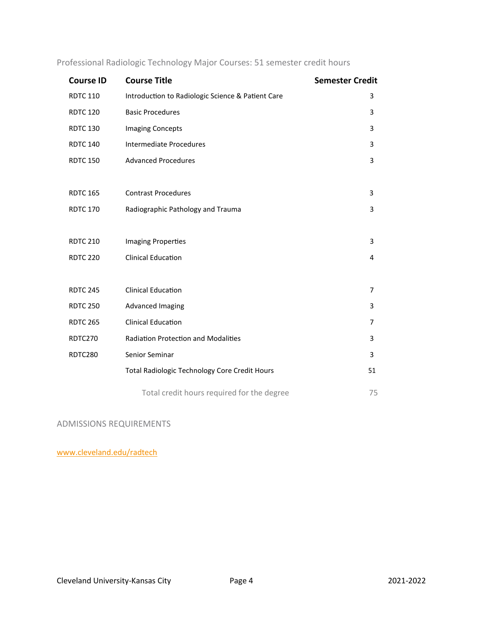| <b>Course ID</b> | <b>Course Title</b>                                  | <b>Semester Credit</b> |
|------------------|------------------------------------------------------|------------------------|
| <b>RDTC 110</b>  | Introduction to Radiologic Science & Patient Care    | 3                      |
| <b>RDTC 120</b>  | <b>Basic Procedures</b>                              | 3                      |
| <b>RDTC 130</b>  | <b>Imaging Concepts</b>                              | 3                      |
| <b>RDTC 140</b>  | <b>Intermediate Procedures</b>                       | 3                      |
| <b>RDTC 150</b>  | <b>Advanced Procedures</b>                           | 3                      |
|                  |                                                      |                        |
| <b>RDTC 165</b>  | <b>Contrast Procedures</b>                           | 3                      |
| <b>RDTC 170</b>  | Radiographic Pathology and Trauma                    | 3                      |
|                  |                                                      |                        |
| <b>RDTC 210</b>  | <b>Imaging Properties</b>                            | 3                      |
| <b>RDTC 220</b>  | <b>Clinical Education</b>                            | 4                      |
|                  |                                                      |                        |
| <b>RDTC 245</b>  | <b>Clinical Education</b>                            | 7                      |
| <b>RDTC 250</b>  | <b>Advanced Imaging</b>                              | 3                      |
| <b>RDTC 265</b>  | <b>Clinical Education</b>                            | 7                      |
| RDTC270          | <b>Radiation Protection and Modalities</b>           | 3                      |
| RDTC280          | Senior Seminar                                       | 3                      |
|                  | <b>Total Radiologic Technology Core Credit Hours</b> | 51                     |
|                  |                                                      |                        |
|                  | Total credit hours required for the degree           | 75                     |

Professional Radiologic Technology Major Courses: 51 semester credit hours

ADMISSIONS REQUIREMENTS

[www.cleveland.edu/radtech](http://www.cleveland.edu/radtech)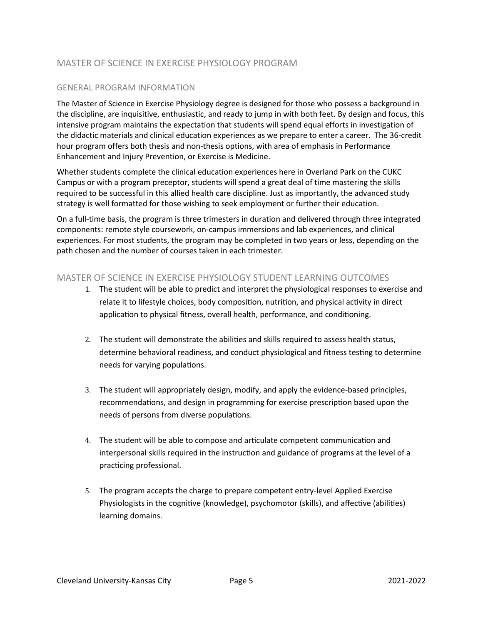## <span id="page-5-0"></span>MASTER OF SCIENCE IN EXERCISE PHYSIOLOGY PROGRAM

### GENERAL PROGRAM INFORMATION

The Master of Science in Exercise Physiology degree is designed for those who possess a background in the discipline, are inquisitive, enthusiastic, and ready to jump in with both feet. By design and focus, this intensive program maintains the expectation that students will spend equal efforts in investigation of the didactic materials and clinical education experiences as we prepare to enter a career. The 36-credit hour program offers both thesis and non-thesis options, with area of emphasis in Performance Enhancement and Injury Prevention, or Exercise is Medicine.

Whether students complete the clinical education experiences here in Overland Park on the CUKC Campus or with a program preceptor, students will spend a great deal of time mastering the skills required to be successful in this allied health care discipline. Just as importantly, the advanced study strategy is well formatted for those wishing to seek employment or further their education.

On a full-time basis, the program is three trimesters in duration and delivered through three integrated components: remote style coursework, on-campus immersions and lab experiences, and clinical experiences. For most students, the program may be completed in two years or less, depending on the path chosen and the number of courses taken in each trimester.

### MASTER OF SCIENCE IN EXERCISE PHYSIOLOGY STUDENT LEARNING OUTCOMES

- 1. The student will be able to predict and interpret the physiological responses to exercise and relate it to lifestyle choices, body composition, nutrition, and physical activity in direct application to physical fitness, overall health, performance, and conditioning.
- 2. The student will demonstrate the abilities and skills required to assess health status, determine behavioral readiness, and conduct physiological and fitness testing to determine needs for varying populations.
- 3. The student will appropriately design, modify, and apply the evidence-based principles, recommendations, and design in programming for exercise prescription based upon the needs of persons from diverse populations.
- 4. The student will be able to compose and articulate competent communication and interpersonal skills required in the instruction and guidance of programs at the level of a practicing professional.
- 5. The program accepts the charge to prepare competent entry-level Applied Exercise Physiologists in the cognitive (knowledge), psychomotor (skills), and affective (abilities) learning domains.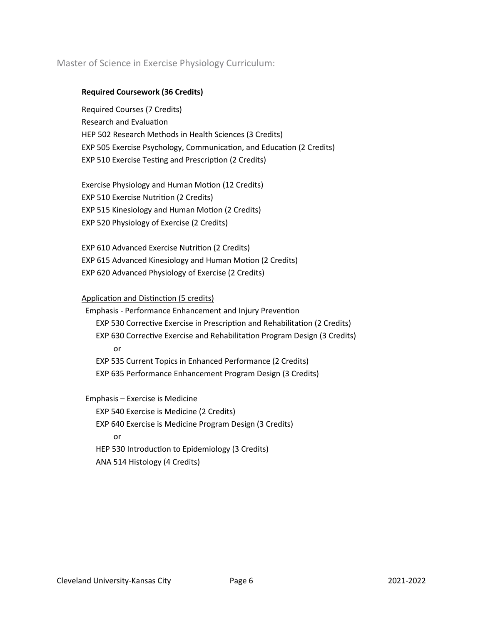## Master of Science in Exercise Physiology Curriculum:

### **Required Coursework (36 Credits)**

Required Courses (7 Credits) Research and Evaluation HEP 502 Research Methods in Health Sciences (3 Credits) EXP 505 Exercise Psychology, Communication, and Education (2 Credits) EXP 510 Exercise Testing and Prescription (2 Credits)

**Exercise Physiology and Human Motion (12 Credits)** EXP 510 Exercise Nutrition (2 Credits) EXP 515 Kinesiology and Human Motion (2 Credits) EXP 520 Physiology of Exercise (2 Credits)

EXP 610 Advanced Exercise Nutri�on (2 Credits) EXP 615 Advanced Kinesiology and Human Motion (2 Credits) EXP 620 Advanced Physiology of Exercise (2 Credits)

### Application and Distinction (5 credits)

Emphasis - Performance Enhancement and Injury Prevention EXP 530 Corrective Exercise in Prescription and Rehabilitation (2 Credits) EXP 630 Corrective Exercise and Rehabilitation Program Design (3 Credits) or EXP 535 Current Topics in Enhanced Performance (2 Credits) EXP 635 Performance Enhancement Program Design (3 Credits)

Emphasis – Exercise is Medicine

EXP 540 Exercise is Medicine (2 Credits) EXP 640 Exercise is Medicine Program Design (3 Credits) or HEP 530 Introduction to Epidemiology (3 Credits) ANA 514 Histology (4 Credits)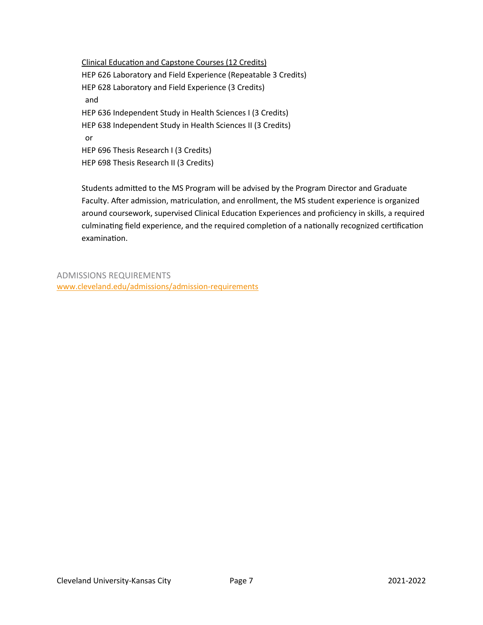Clinical Education and Capstone Courses (12 Credits) HEP 626 Laboratory and Field Experience (Repeatable 3 Credits) HEP 628 Laboratory and Field Experience (3 Credits) and HEP 636 Independent Study in Health Sciences I (3 Credits) HEP 638 Independent Study in Health Sciences II (3 Credits) or HEP 696 Thesis Research I (3 Credits) HEP 698 Thesis Research II (3 Credits)

Students admited to the MS Program will be advised by the Program Director and Graduate Faculty. After admission, matriculation, and enrollment, the MS student experience is organized around coursework, supervised Clinical Education Experiences and proficiency in skills, a required culminating field experience, and the required completion of a nationally recognized certification examination.

ADMISSIONS REQUIREMENTS [www.cleveland.edu/admissions/admission](http://www.cleveland.edu/admissions/admission-requirements)-requirements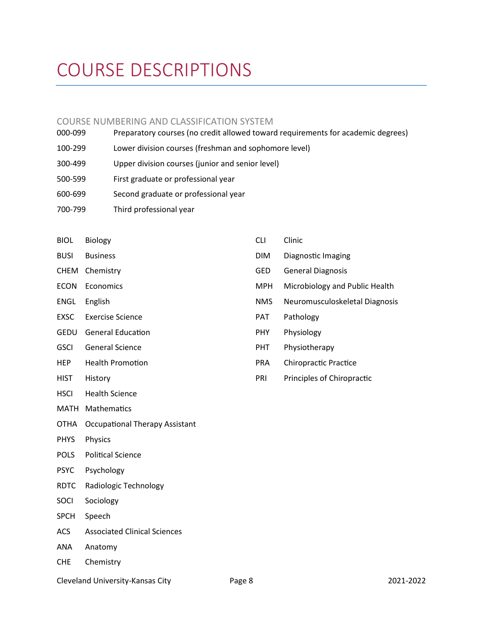# <span id="page-8-0"></span>COURSE DESCRIPTIONS

### <span id="page-8-1"></span>COURSE NUMBERING AND CLASSIFICATION SYSTEM

- 000-099 Preparatory courses (no credit allowed toward requirements for academic degrees) 100-299 Lower division courses (freshman and sophomore level) 300-499 Upper division courses (junior and senior level)
- 500-599 First graduate or professional year
- 600-699 Second graduate or professional year
- 700-799 Third professional year
- BIOL Biology
- BUSI Business
- CHEM Chemistry
- ECON Economics
- ENGL English
- EXSC Exercise Science
- GEDU General Education
- GSCI General Science
- HEP Health Promotion
- HIST History
- HSCI Health Science
- MATH Mathema�cs
- OTHA Occupational Therapy Assistant
- PHYS Physics
- POLS Political Science
- PSYC Psychology
- RDTC Radiologic Technology
- SOCI Sociology
- SPCH Speech
- ACS Associated Clinical Sciences
- ANA Anatomy
- CHE Chemistry
- CLI Clinic DIM Diagnostic Imaging
- GED General Diagnosis
- MPH Microbiology and Public Health
- NMS Neuromusculoskeletal Diagnosis
- PAT Pathology
- PHY Physiology
- PHT Physiotherapy
- PRA Chiropractic Practice
- PRI Principles of Chiropractic

Cleveland University-Kansas City Page 8 2021-2022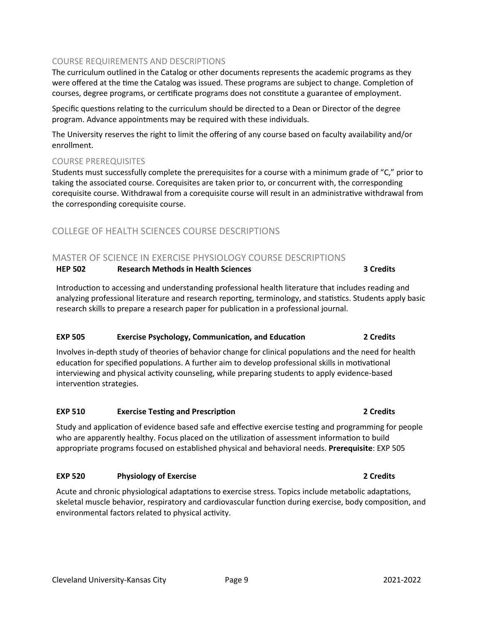### COURSE REQUIREMENTS AND DESCRIPTIONS

The curriculum outlined in the Catalog or other documents represents the academic programs as they were offered at the time the Catalog was issued. These programs are subject to change. Completion of courses, degree programs, or certificate programs does not constitute a guarantee of employment.

Specific questions relating to the curriculum should be directed to a Dean or Director of the degree program. Advance appointments may be required with these individuals.

The University reserves the right to limit the offering of any course based on faculty availability and/or enrollment.

### COURSE PREREQUISITES

Students must successfully complete the prerequisites for a course with a minimum grade of "C," prior to taking the associated course. Corequisites are taken prior to, or concurrent with, the corresponding corequisite course. Withdrawal from a corequisite course will result in an administrative withdrawal from the corresponding corequisite course.

## <span id="page-9-0"></span>COLLEGE OF HEALTH SCIENCES COURSE DESCRIPTIONS

### <span id="page-9-1"></span>MASTER OF SCIENCE IN EXERCISE PHYSIOLOGY COURSE DESCRIPTIONS

### **HEP 502 Research Methods in Health Sciences 3 Credits**

Introduction to accessing and understanding professional health literature that includes reading and analyzing professional literature and research reporting, terminology, and statistics. Students apply basic research skills to prepare a research paper for publication in a professional journal.

### **EXP 505 Exercise Psychology, Communication, and Education 2** Credits

Involves in-depth study of theories of behavior change for clinical populations and the need for health education for specified populations. A further aim to develop professional skills in motivational interviewing and physical activity counseling, while preparing students to apply evidence-based intervention strategies.

### **EXP 510 Exercise Tes�ng and Prescrip�on 2 Credits**

Study and application of evidence based safe and effective exercise testing and programming for people who are apparently healthy. Focus placed on the utilization of assessment information to build appropriate programs focused on established physical and behavioral needs. **Prerequisite**: EXP 505

### **EXP 520 Physiology of Exercise 2 Credits**

Acute and chronic physiological adaptations to exercise stress. Topics include metabolic adaptations, skeletal muscle behavior, respiratory and cardiovascular function during exercise, body composition, and environmental factors related to physical activity.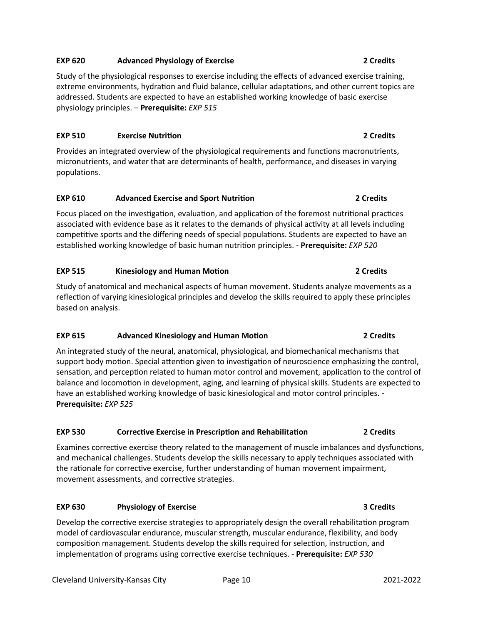### Cleveland University-Kansas City Page 10 2021-2022

**EXP 620 Advanced Physiology of Exercise 2 Credits**

Study of the physiological responses to exercise including the effects of advanced exercise training, extreme environments, hydration and fluid balance, cellular adaptations, and other current topics are addressed. Students are expected to have an established working knowledge of basic exercise physiology principles. – **Prerequisite:** *EXP 515*

# **EXP 510 Exercise Nutri�on 2 Credits**

Provides an integrated overview of the physiological requirements and functions macronutrients, micronutrients, and water that are determinants of health, performance, and diseases in varying populations.

# **EXP 610 Advanced Exercise and Sport Nutri�on 2 Credits**

Focus placed on the investigation, evaluation, and application of the foremost nutritional practices associated with evidence base as it relates to the demands of physical activity at all levels including competitive sports and the differing needs of special populations. Students are expected to have an established working knowledge of basic human nutri�on principles. - **Prerequisite:** *EXP 520*

# **EXP 515 Kinesiology and Human Mo�on 2 Credits**

Study of anatomical and mechanical aspects of human movement. Students analyze movements as a reflection of varying kinesiological principles and develop the skills required to apply these principles based on analysis.

# **EXP 615 Advanced Kinesiology and Human Mo�on 2 Credits**

An integrated study of the neural, anatomical, physiological, and biomechanical mechanisms that support body motion. Special attention given to investigation of neuroscience emphasizing the control, sensation, and perception related to human motor control and movement, application to the control of balance and locomotion in development, aging, and learning of physical skills. Students are expected to have an established working knowledge of basic kinesiological and motor control principles. - **Prerequisite:** *EXP 525*

# **EXP 530 Corrective Exercise in Prescription and Rehabilitation 1 2 Credits**

Examines corrective exercise theory related to the management of muscle imbalances and dysfunctions, and mechanical challenges. Students develop the skills necessary to apply techniques associated with the rationale for corrective exercise, further understanding of human movement impairment, movement assessments, and corrective strategies.

# **EXP 630 Physiology of Exercise 3 Credits**

Develop the corrective exercise strategies to appropriately design the overall rehabilitation program model of cardiovascular endurance, muscular strength, muscular endurance, flexibility, and body composition management. Students develop the skills required for selection, instruction, and implementation of programs using corrective exercise techniques. - **Prerequisite:** *EXP 530*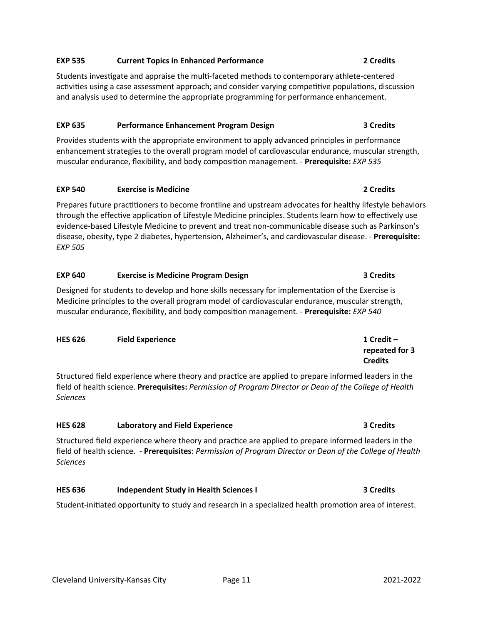# **EXP 535 Current Topics in Enhanced Performance 2 Credits**

Students investigate and appraise the multi-faceted methods to contemporary athlete-centered activities using a case assessment approach; and consider varying competitive populations, discussion and analysis used to determine the appropriate programming for performance enhancement.

# **EXP 635 Performance Enhancement Program Design 3 Credits**

Provides students with the appropriate environment to apply advanced principles in performance enhancement strategies to the overall program model of cardiovascular endurance, muscular strength, muscular endurance, flexibility, and body composi�on management. - **Prerequisite:** *EXP 535*

# **EXP 540 Exercise is Medicine 2 Credits**

Prepares future practitioners to become frontline and upstream advocates for healthy lifestyle behaviors through the effective application of Lifestyle Medicine principles. Students learn how to effectively use evidence-based Lifestyle Medicine to prevent and treat non-communicable disease such as Parkinson's disease, obesity, type 2 diabetes, hypertension, Alzheimer's, and cardiovascular disease. - **Prerequisite:** *EXP 505*

# **EXP 640 Exercise is Medicine Program Design 3 Credits**

Designed for students to develop and hone skills necessary for implementation of the Exercise is Medicine principles to the overall program model of cardiovascular endurance, muscular strength, muscular endurance, flexibility, and body composi�on management. - **Prerequisite:** *EXP 540*

# **HES 626 Field Experience 1 Credit –**

Structured field experience where theory and prac�ce are applied to prepare informed leaders in the field of health science. **Prerequisites:** *Permission of Program Director or Dean of the College of Health Sciences*

# **HES 628 Laboratory and Field Experience 3 Credits**

Structured field experience where theory and prac�ce are applied to prepare informed leaders in the field of health science. - **Prerequisites**: *Permission of Program Director or Dean of the College of Health Sciences*

# **HES 636 Independent Study in Health Sciences I 3 Credits**

Student-initiated opportunity to study and research in a specialized health promotion area of interest.

**repeated for 3**

**Credits**